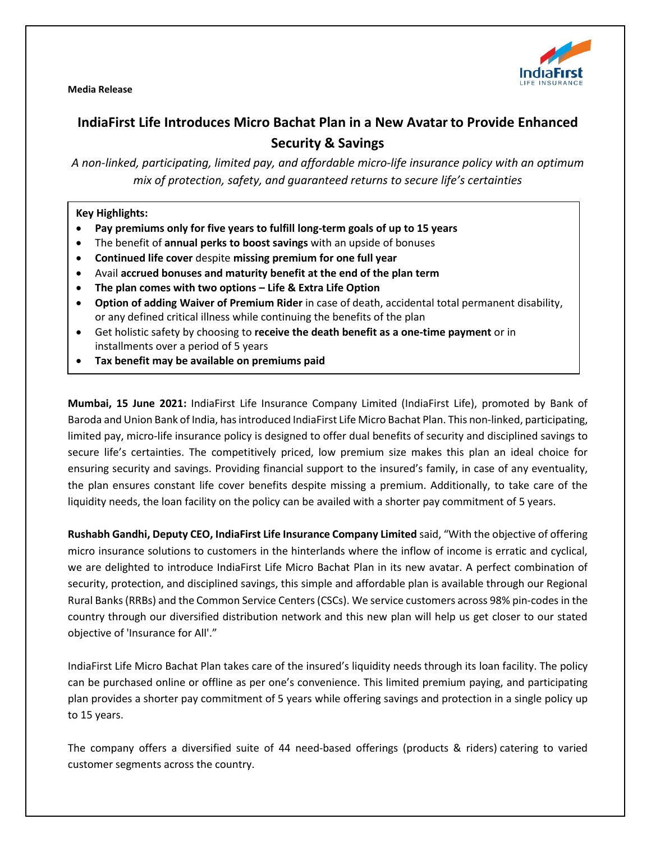

**Media Release**

# **IndiaFirst Life Introduces Micro Bachat Plan in a New Avatarto Provide Enhanced Security & Savings**

*A non-linked, participating, limited pay, and affordable micro-life insurance policy with an optimum mix of protection, safety, and guaranteed returns to secure life's certainties*

## **Key Highlights:**

- **Pay premiums only for five years to fulfill long-term goals of up to 15 years**
- The benefit of **annual perks to boost savings** with an upside of bonuses
- **Continued life cover** despite **missing premium for one full year**
- Avail **accrued bonuses and maturity benefit at the end of the plan term**
- **The plan comes with two options – Life & Extra Life Option**
- **Option of adding Waiver of Premium Rider** in case of death, accidental total permanent disability, or any defined critical illness while continuing the benefits of the plan
- Get holistic safety by choosing to **receive the death benefit as a one-time payment** or in installments over a period of 5 years
- **Tax benefit may be available on premiums paid**

**Mumbai, 15 June 2021:** IndiaFirst Life Insurance Company Limited (IndiaFirst Life), promoted by Bank of Baroda and Union Bank of India, hasintroduced IndiaFirst Life Micro Bachat Plan. This non-linked, participating, limited pay, micro-life insurance policy is designed to offer dual benefits of security and disciplined savings to secure life's certainties. The competitively priced, low premium size makes this plan an ideal choice for ensuring security and savings. Providing financial support to the insured's family, in case of any eventuality, the plan ensures constant life cover benefits despite missing a premium. Additionally, to take care of the liquidity needs, the loan facility on the policy can be availed with a shorter pay commitment of 5 years.

**Rushabh Gandhi, Deputy CEO, IndiaFirst Life Insurance Company Limited** said, "With the objective of offering micro insurance solutions to customers in the hinterlands where the inflow of income is erratic and cyclical, we are delighted to introduce IndiaFirst Life Micro Bachat Plan in its new avatar. A perfect combination of security, protection, and disciplined savings, this simple and affordable plan is available through our Regional Rural Banks (RRBs) and the Common Service Centers (CSCs). We service customers across 98% pin-codes in the country through our diversified distribution network and this new plan will help us get closer to our stated objective of 'Insurance for All'."

IndiaFirst Life Micro Bachat Plan takes care of the insured's liquidity needs through its loan facility. The policy can be purchased online or offline as per one's convenience. This limited premium paying, and participating plan provides a shorter pay commitment of 5 years while offering savings and protection in a single policy up to 15 years.

The company offers a diversified suite of 44 need-based offerings (products & riders) catering to varied customer segments across the country.